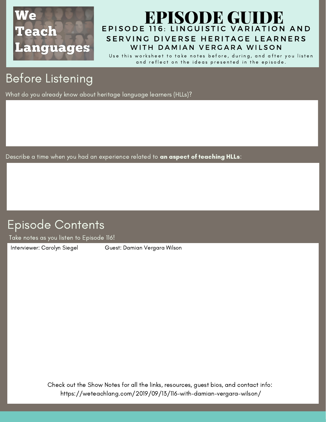

### EPISODE 116: LINGUISTIC VARIATION AND SERVING DIVERSE HERITAGE LEARNERS [EPISODE](https://weteachlang.com/2019/09/13/116-with-damian-vergara-wilson/) GUIDE WITH DAMIAN VERGARA WILSON

Use this worksheet to take notes before, during, and after you listen and reflect on the ideas presented in the episode.

# Before Listening

What do you already know about heritage language learners (HLLs)?

Describe a time when you had an experience related to an aspect of teaching HLLs:

## Episode Contents

Take notes as you listen to Episode 116!

[Interviewer:](https://weteachlang.com/2018/08/31/ep-68-with-erin-whelchel) Carolyn Siegel Guest: Damian Vergara Wilson

Check out the Show Notes for all the links, resources, guest bios, and contact info: <https://weteachlang.com/2019/09/13/116-with-damian-vergara-wilson/>